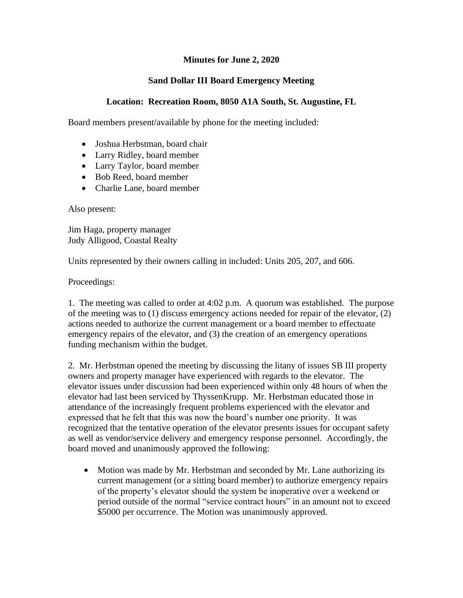## **Minutes for June 2, 2020**

## **Sand Dollar III Board Emergency Meeting**

## **Location: Recreation Room, 8050 A1A South, St. Augustine, FL**

Board members present/available by phone for the meeting included:

- Joshua Herbstman, board chair
- Larry Ridley, board member
- Larry Taylor, board member
- Bob Reed, board member
- Charlie Lane, board member

Also present:

Jim Haga, property manager Judy Alligood, Coastal Realty

Units represented by their owners calling in included: Units 205, 207, and 606.

Proceedings:

1. The meeting was called to order at 4:02 p.m. A quorum was established. The purpose of the meeting was to (1) discuss emergency actions needed for repair of the elevator, (2) actions needed to authorize the current management or a board member to effectuate emergency repairs of the elevator, and (3) the creation of an emergency operations funding mechanism within the budget.

2. Mr. Herbstman opened the meeting by discussing the litany of issues SB III property owners and property manager have experienced with regards to the elevator. The elevator issues under discussion had been experienced within only 48 hours of when the elevator had last been serviced by ThyssenKrupp. Mr. Herbstman educated those in attendance of the increasingly frequent problems experienced with the elevator and expressed that he felt that this was now the board's number one priority. It was recognized that the tentative operation of the elevator presents issues for occupant safety as well as vendor/service delivery and emergency response personnel. Accordingly, the board moved and unanimously approved the following:

• Motion was made by Mr. Herbstman and seconded by Mr. Lane authorizing its current management (or a sitting board member) to authorize emergency repairs of the property's elevator should the system be inoperative over a weekend or period outside of the normal "service contract hours" in an amount not to exceed \$5000 per occurrence. The Motion was unanimously approved.